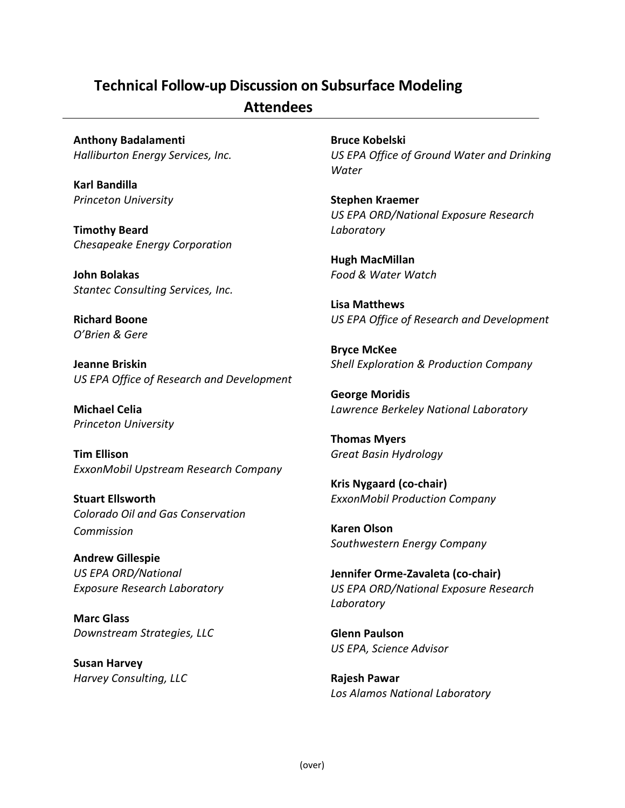## **Technical Follow-up Discussion on Subsurface Modeling**

## **Attendees**

**Anthony Badalamenti** *Halliburton Energy Services, Inc.* 

**Karl Bandilla**  *Princeton University* 

**Timothy Beard**  *Chesapeake Energy Corporation* 

**John Bolakas**  *Stantec Consulting Services, Inc.* 

**Richard Boone**  *O'Brien & Gere*

**Jeanne Briskin**  *US EPA Office of Research and Development* 

**Michael Celia**  *Princeton University* 

**Tim Ellison**  *ExxonMobil Upstream Research Company* 

**Stuart Ellsworth**  *Colorado Oil and Gas Conservation Commission* 

**Andrew Gillespie**  *US EPA ORD/National Exposure Research Laboratory* 

**Marc Glass**  *Downstream Strategies, LLC* 

**Susan Harvey**  *Harvey Consulting, LLC*  **Bruce Kobelski**  *US EPA Office of Ground Water and Drinking Water*

**Stephen Kraemer**  *US EPA ORD/National Exposure Research Laboratory*

**Hugh MacMillan**  *Food & Water Watch* 

**Lisa Matthews**  *US EPA Office of Research and Development* 

**Bryce McKee**  *Shell Exploration & Production Company* 

**George Moridis**  *Lawrence Berkeley National Laboratory* 

**Thomas Myers**  *Great Basin Hydrology* 

**Kris Nygaard (co-chair)**  *ExxonMobil Production Company* 

**Karen Olson**  *Southwestern Energy Company* 

**Jennifer Orme-Zavaleta (co-chair)** *US EPA ORD/National Exposure Research Laboratory* 

**Glenn Paulson**  *US EPA, Science Advisor* 

**Rajesh Pawar**  *Los Alamos National Laboratory*